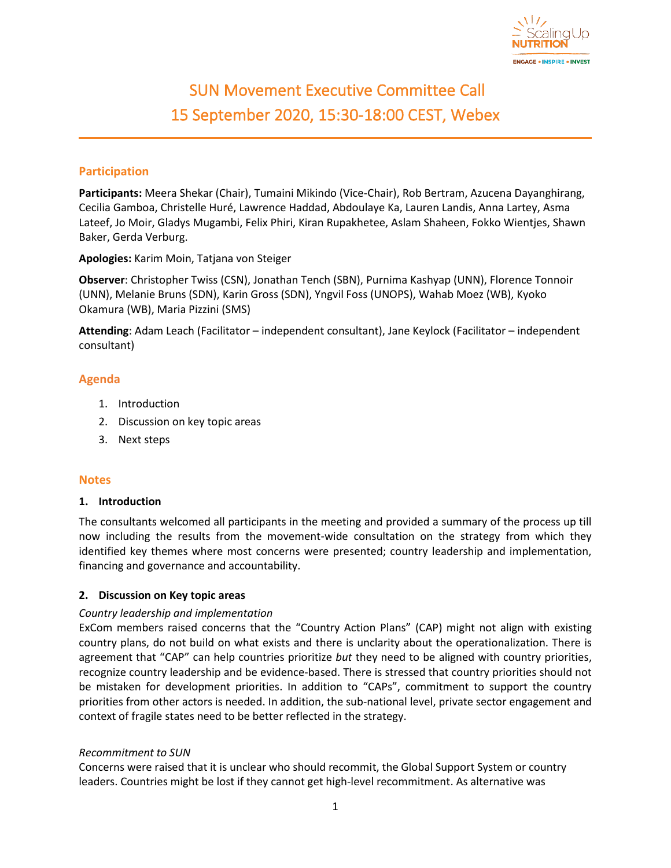

# SUN Movement Executive Committee Call 15 September 2020, 15:30-18:00 CEST, Webex

# **Participation**

**Participants:** Meera Shekar (Chair), Tumaini Mikindo (Vice-Chair), Rob Bertram, Azucena Dayanghirang, Cecilia Gamboa, Christelle Huré, Lawrence Haddad, Abdoulaye Ka, Lauren Landis, Anna Lartey, Asma Lateef, Jo Moir, Gladys Mugambi, Felix Phiri, Kiran Rupakhetee, Aslam Shaheen, Fokko Wientjes, Shawn Baker, Gerda Verburg.

**Apologies:** Karim Moin, Tatjana von Steiger

**Observer**: Christopher Twiss (CSN), Jonathan Tench (SBN), Purnima Kashyap (UNN), Florence Tonnoir (UNN), Melanie Bruns (SDN), Karin Gross (SDN), Yngvil Foss (UNOPS), Wahab Moez (WB), Kyoko Okamura (WB), Maria Pizzini (SMS)

**Attending**: Adam Leach (Facilitator – independent consultant), Jane Keylock (Facilitator – independent consultant)

## **Agenda**

- 1. Introduction
- 2. Discussion on key topic areas
- 3. Next steps

## **Notes**

#### **1. Introduction**

The consultants welcomed all participants in the meeting and provided a summary of the process up till now including the results from the movement-wide consultation on the strategy from which they identified key themes where most concerns were presented; country leadership and implementation, financing and governance and accountability.

## **2. Discussion on Key topic areas**

## *Country leadership and implementation*

ExCom members raised concerns that the "Country Action Plans" (CAP) might not align with existing country plans, do not build on what exists and there is unclarity about the operationalization. There is agreement that "CAP" can help countries prioritize *but* they need to be aligned with country priorities, recognize country leadership and be evidence-based. There is stressed that country priorities should not be mistaken for development priorities. In addition to "CAPs", commitment to support the country priorities from other actors is needed. In addition, the sub-national level, private sector engagement and context of fragile states need to be better reflected in the strategy.

#### *Recommitment to SUN*

Concerns were raised that it is unclear who should recommit, the Global Support System or country leaders. Countries might be lost if they cannot get high-level recommitment. As alternative was